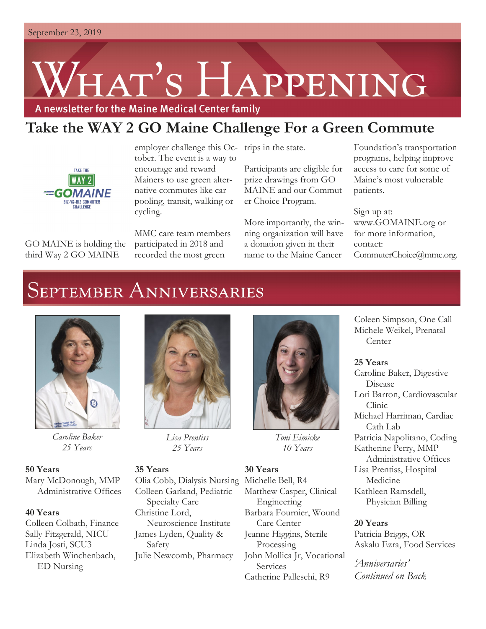# HAT'S HAPPENING

A newsletter for the Maine Medical Center family

### **Take the WAY 2 GO Maine Challenge For a Green Commute**



employer challenge this Oc-trips in the state. tober. The event is a way to encourage and reward Mainers to use green alternative commutes like carpooling, transit, walking or cycling.

GO MAINE is holding the third Way 2 GO MAINE

MMC care team members participated in 2018 and recorded the most green

Participants are eligible for prize drawings from GO MAINE and our Commuter Choice Program.

More importantly, the winning organization will have a donation given in their name to the Maine Cancer

Foundation's transportation programs, helping improve access to care for some of Maine's most vulnerable patients.

Sign up at: www.GOMAINE.org or for more information, contact: CommuterChoice@mmc.org.

## **SEPTEMBER ANNIVERSARIES**



*Caroline Baker 25 Years*

**50 Years** Mary McDonough, MMP Administrative Offices

#### **40 Years**

Colleen Colbath, Finance Sally Fitzgerald, NICU Linda Josti, SCU3 Elizabeth Winchenbach, ED Nursing



*Lisa Prentiss 25 Years*

#### **35 Years**

Olia Cobb, Dialysis Nursing Colleen Garland, Pediatric Specialty Care Christine Lord, Neuroscience Institute James Lyden, Quality & Safety Julie Newcomb, Pharmacy



*Toni Eimicke 10 Years*

**30 Years** Michelle Bell, R4 Matthew Casper, Clinical Engineering Barbara Fournier, Wound Care Center Jeanne Higgins, Sterile Processing John Mollica Jr, Vocational Services Catherine Palleschi, R9

Coleen Simpson, One Call Michele Weikel, Prenatal **Center** 

#### **25 Years**

Caroline Baker, Digestive Disease Lori Barron, Cardiovascular Clinic Michael Harriman, Cardiac Cath Lab Patricia Napolitano, Coding Katherine Perry, MMP Administrative Offices Lisa Prentiss, Hospital Medicine Kathleen Ramsdell, Physician Billing

#### **20 Years**

Patricia Briggs, OR Askalu Ezra, Food Services

*'Anniversaries' Continued on Back*